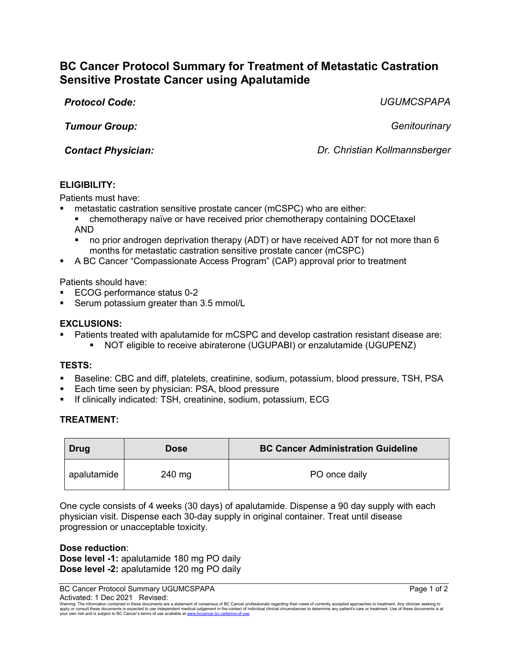# **BC Cancer Protocol Summary for Treatment of Metastatic Castration Sensitive Prostate Cancer using Apalutamide**

*Protocol Code: UGUMCSPAPA*

*Tumour Group: Genitourinary*

*Contact Physician: Dr. Christian Kollmannsberger*

## **ELIGIBILITY:**

Patients must have:

- metastatic castration sensitive prostate cancer (mCSPC) who are either:
	- chemotherapy naïve or have received prior chemotherapy containing DOCEtaxel AND
	- no prior androgen deprivation therapy (ADT) or have received ADT for not more than 6 months for metastatic castration sensitive prostate cancer (mCSPC)
- A BC Cancer "Compassionate Access Program" (CAP) approval prior to treatment

Patients should have:

- ECOG performance status 0-2
- Serum potassium greater than 3.5 mmol/L

### **EXCLUSIONS:**

- Patients treated with apalutamide for mCSPC and develop castration resistant disease are:
	- NOT eligible to receive abiraterone (UGUPABI) or enzalutamide (UGUPENZ)

#### **TESTS:**

- Baseline: CBC and diff, platelets, creatinine, sodium, potassium, blood pressure, TSH, PSA
- Each time seen by physician: PSA, blood pressure
- If clinically indicated: TSH, creatinine, sodium, potassium, ECG

#### **TREATMENT:**

| <b>Drug</b> | <b>Dose</b> | <b>BC Cancer Administration Guideline</b> |
|-------------|-------------|-------------------------------------------|
| apalutamide | 240 mg      | PO once daily                             |

One cycle consists of 4 weeks (30 days) of apalutamide. Dispense a 90 day supply with each physician visit. Dispense each 30-day supply in original container. Treat until disease progression or unacceptable toxicity.

**Dose reduction**: **Dose level -1:** apalutamide 180 mg PO daily **Dose level -2:** apalutamide 120 mg PO daily

BC Cancer Protocol Summary UGUMCSPAPA **Page 1 of 2** and 2 Activated: 1 Dec 2021 Revised:

Warning: The information contained in these documents are a statement of consensus of BC Cancer professionals regarding their views of currently accepted approaches to treatment. Any clinician seeking to<br>apply or consult t